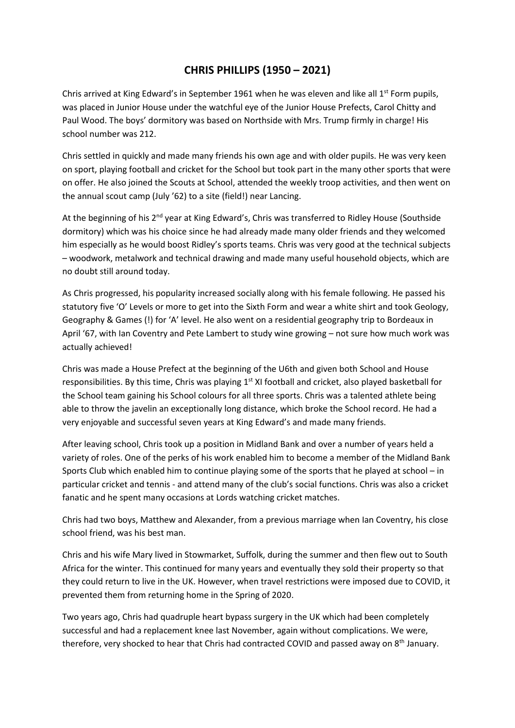## **CHRIS PHILLIPS (1950 – 2021)**

Chris arrived at King Edward's in September 1961 when he was eleven and like all 1<sup>st</sup> Form pupils, was placed in Junior House under the watchful eye of the Junior House Prefects, Carol Chitty and Paul Wood. The boys' dormitory was based on Northside with Mrs. Trump firmly in charge! His school number was 212.

Chris settled in quickly and made many friends his own age and with older pupils. He was very keen on sport, playing football and cricket for the School but took part in the many other sports that were on offer. He also joined the Scouts at School, attended the weekly troop activities, and then went on the annual scout camp (July '62) to a site (field!) near Lancing.

At the beginning of his 2<sup>nd</sup> year at King Edward's, Chris was transferred to Ridley House (Southside dormitory) which was his choice since he had already made many older friends and they welcomed him especially as he would boost Ridley's sports teams. Chris was very good at the technical subjects – woodwork, metalwork and technical drawing and made many useful household objects, which are no doubt still around today.

As Chris progressed, his popularity increased socially along with his female following. He passed his statutory five 'O' Levels or more to get into the Sixth Form and wear a white shirt and took Geology, Geography & Games (!) for 'A' level. He also went on a residential geography trip to Bordeaux in April '67, with Ian Coventry and Pete Lambert to study wine growing – not sure how much work was actually achieved!

Chris was made a House Prefect at the beginning of the U6th and given both School and House responsibilities. By this time, Chris was playing 1st XI football and cricket, also played basketball for the School team gaining his School colours for all three sports. Chris was a talented athlete being able to throw the javelin an exceptionally long distance, which broke the School record. He had a very enjoyable and successful seven years at King Edward's and made many friends.

After leaving school, Chris took up a position in Midland Bank and over a number of years held a variety of roles. One of the perks of his work enabled him to become a member of the Midland Bank Sports Club which enabled him to continue playing some of the sports that he played at school – in particular cricket and tennis - and attend many of the club's social functions. Chris was also a cricket fanatic and he spent many occasions at Lords watching cricket matches.

Chris had two boys, Matthew and Alexander, from a previous marriage when Ian Coventry, his close school friend, was his best man.

Chris and his wife Mary lived in Stowmarket, Suffolk, during the summer and then flew out to South Africa for the winter. This continued for many years and eventually they sold their property so that they could return to live in the UK. However, when travel restrictions were imposed due to COVID, it prevented them from returning home in the Spring of 2020.

Two years ago, Chris had quadruple heart bypass surgery in the UK which had been completely successful and had a replacement knee last November, again without complications. We were, therefore, very shocked to hear that Chris had contracted COVID and passed away on 8<sup>th</sup> January.